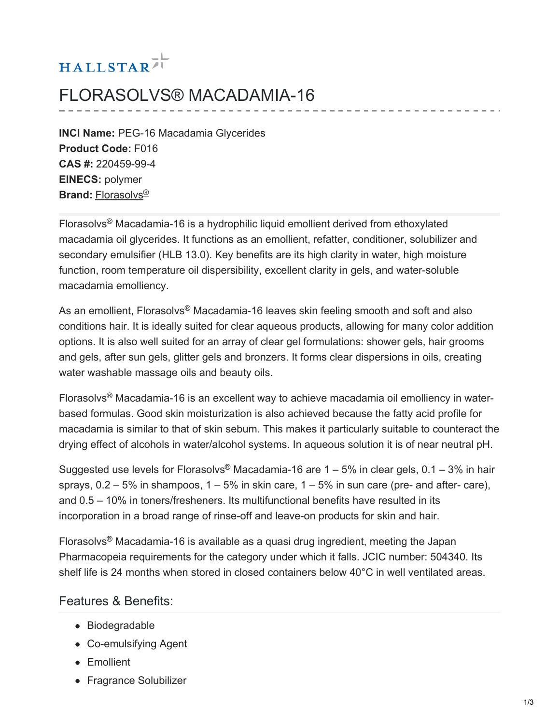# HALLSTAR<sup>71</sup>

## FLORASOLVS® MACADAMIA-16

**INCI Name:** PEG-16 Macadamia Glycerides **Product Code:** F016 **CAS #:** 220459-99-4 **EINECS:** polymer **Brand:** [Florasolvs](https://www.hallstar.com/brand/florasolvs/) ®

Florasolvs<sup>®</sup> Macadamia-16 is a hydrophilic liquid emollient derived from ethoxylated macadamia oil glycerides. It functions as an emollient, refatter, conditioner, solubilizer and secondary emulsifier (HLB 13.0). Key benefits are its high clarity in water, high moisture function, room temperature oil dispersibility, excellent clarity in gels, and water-soluble macadamia emolliency.

As an emollient, Florasolvs® Macadamia-16 leaves skin feeling smooth and soft and also conditions hair. It is ideally suited for clear aqueous products, allowing for many color addition options. It is also well suited for an array of clear gel formulations: shower gels, hair grooms and gels, after sun gels, glitter gels and bronzers. It forms clear dispersions in oils, creating water washable massage oils and beauty oils.

Florasolvs<sup>®</sup> Macadamia-16 is an excellent way to achieve macadamia oil emolliency in waterbased formulas. Good skin moisturization is also achieved because the fatty acid profile for macadamia is similar to that of skin sebum. This makes it particularly suitable to counteract the drying effect of alcohols in water/alcohol systems. In aqueous solution it is of near neutral pH.

Suggested use levels for Florasolvs® Macadamia-16 are  $1 - 5%$  in clear gels, 0.1 – 3% in hair sprays,  $0.2 - 5\%$  in shampoos,  $1 - 5\%$  in skin care,  $1 - 5\%$  in sun care (pre- and after- care), and 0.5 – 10% in toners/fresheners. Its multifunctional benefits have resulted in its incorporation in a broad range of rinse-off and leave-on products for skin and hair.

Florasolvs<sup>®</sup> Macadamia-16 is available as a quasi drug ingredient, meeting the Japan Pharmacopeia requirements for the category under which it falls. JCIC number: 504340. Its shelf life is 24 months when stored in closed containers below 40°C in well ventilated areas.

#### Features & Benefits:

- Biodegradable
- Co-emulsifying Agent
- Emollient
- Fragrance Solubilizer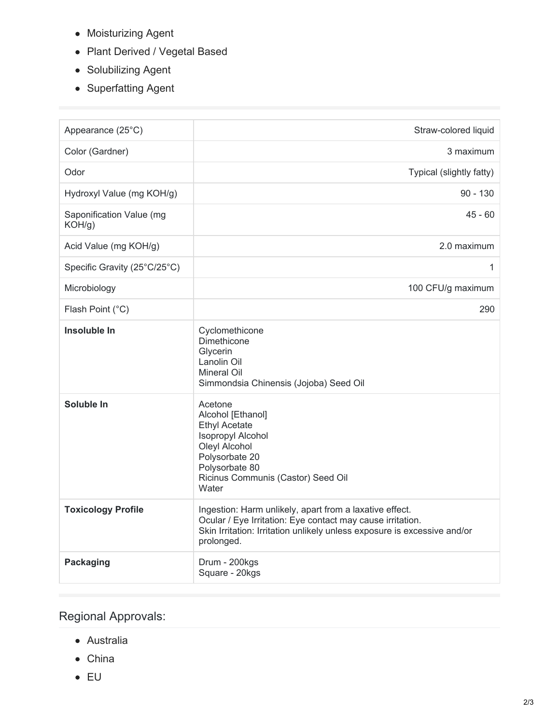- Moisturizing Agent
- Plant Derived / Vegetal Based
- Solubilizing Agent
- Superfatting Agent

| Appearance (25°C)                  | Straw-colored liquid                                                                                                                                                                                            |
|------------------------------------|-----------------------------------------------------------------------------------------------------------------------------------------------------------------------------------------------------------------|
| Color (Gardner)                    | 3 maximum                                                                                                                                                                                                       |
| Odor                               | Typical (slightly fatty)                                                                                                                                                                                        |
| Hydroxyl Value (mg KOH/g)          | $90 - 130$                                                                                                                                                                                                      |
| Saponification Value (mg<br>KOH/g) | $45 - 60$                                                                                                                                                                                                       |
| Acid Value (mg KOH/g)              | 2.0 maximum                                                                                                                                                                                                     |
| Specific Gravity (25°C/25°C)       | 1                                                                                                                                                                                                               |
| Microbiology                       | 100 CFU/g maximum                                                                                                                                                                                               |
| Flash Point (°C)                   | 290                                                                                                                                                                                                             |
| Insoluble In                       | Cyclomethicone<br>Dimethicone<br>Glycerin<br>Lanolin Oil<br>Mineral Oil<br>Simmondsia Chinensis (Jojoba) Seed Oil                                                                                               |
| Soluble In                         | Acetone<br>Alcohol [Ethanol]<br><b>Ethyl Acetate</b><br>Isopropyl Alcohol<br>Oleyl Alcohol<br>Polysorbate 20<br>Polysorbate 80<br>Ricinus Communis (Castor) Seed Oil<br>Water                                   |
| <b>Toxicology Profile</b>          | Ingestion: Harm unlikely, apart from a laxative effect.<br>Ocular / Eye Irritation: Eye contact may cause irritation.<br>Skin Irritation: Irritation unlikely unless exposure is excessive and/or<br>prolonged. |
| <b>Packaging</b>                   | Drum - 200kgs<br>Square - 20kgs                                                                                                                                                                                 |

### Regional Approvals:

- Australia
- China
- EU